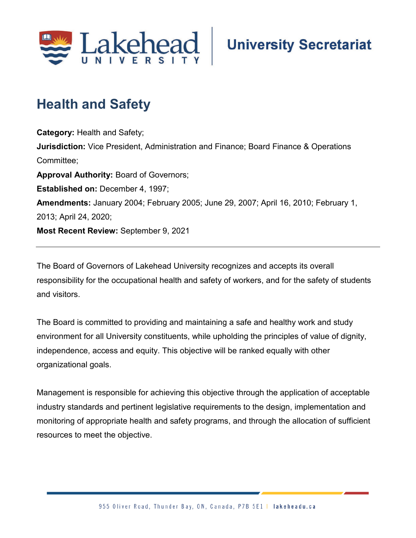

## **Health and Safety**

**Category:** Health and Safety; **Jurisdiction:** Vice President, Administration and Finance; Board Finance & Operations Committee; **Approval Authority:** Board of Governors; **Established on:** December 4, 1997; **Amendments:** January 2004; February 2005; June 29, 2007; April 16, 2010; February 1, 2013; April 24, 2020; **Most Recent Review:** September 9, 2021

The Board of Governors of Lakehead University recognizes and accepts its overall responsibility for the occupational health and safety of workers, and for the safety of students and visitors.

The Board is committed to providing and maintaining a safe and healthy work and study environment for all University constituents, while upholding the principles of value of dignity, independence, access and equity. This objective will be ranked equally with other organizational goals.

Management is responsible for achieving this objective through the application of acceptable industry standards and pertinent legislative requirements to the design, implementation and monitoring of appropriate health and safety programs, and through the allocation of sufficient resources to meet the objective.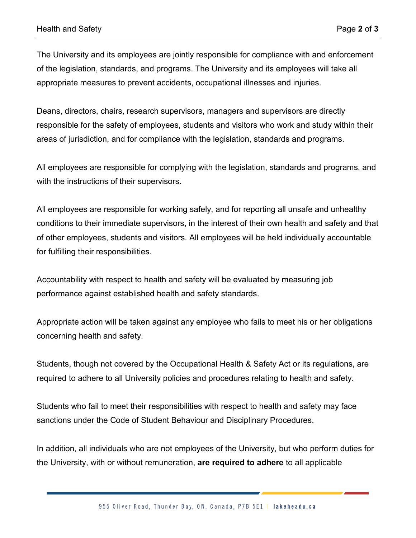The University and its employees are jointly responsible for compliance with and enforcement of the legislation, standards, and programs. The University and its employees will take all appropriate measures to prevent accidents, occupational illnesses and injuries.

Deans, directors, chairs, research supervisors, managers and supervisors are directly responsible for the safety of employees, students and visitors who work and study within their areas of jurisdiction, and for compliance with the legislation, standards and programs.

All employees are responsible for complying with the legislation, standards and programs, and with the instructions of their supervisors.

All employees are responsible for working safely, and for reporting all unsafe and unhealthy conditions to their immediate supervisors, in the interest of their own health and safety and that of other employees, students and visitors. All employees will be held individually accountable for fulfilling their responsibilities.

Accountability with respect to health and safety will be evaluated by measuring job performance against established health and safety standards.

Appropriate action will be taken against any employee who fails to meet his or her obligations concerning health and safety.

Students, though not covered by the Occupational Health & Safety Act or its regulations, are required to adhere to all University policies and procedures relating to health and safety.

Students who fail to meet their responsibilities with respect to health and safety may face sanctions under the Code of Student Behaviour and Disciplinary Procedures.

In addition, all individuals who are not employees of the University, but who perform duties for the University, with or without remuneration, **are required to adhere** to all applicable